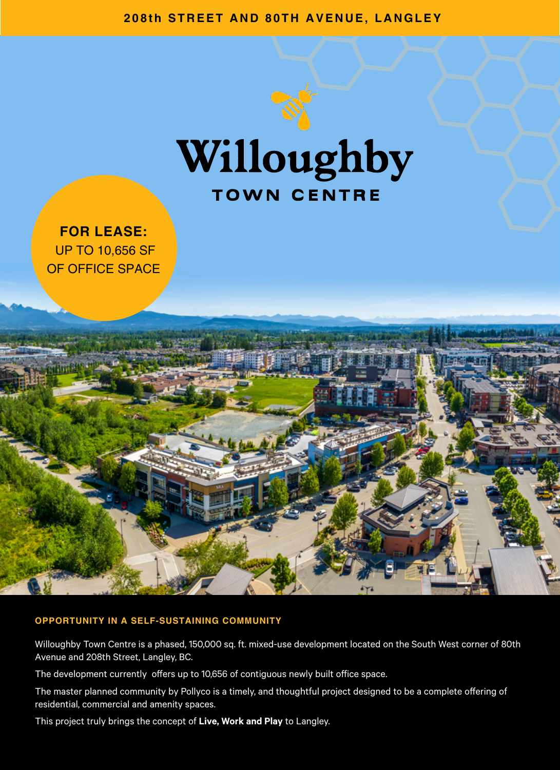**208th STREET AND 80TH AVENUE, LANGLEY**



**FOR LEASE:** UP TO 10,656 SF OF OFFICE SPACE



#### **OPPORTUNITY IN A SELF-SUSTAINING COMMUNITY**

Willoughby Town Centre is a phased, 150,000 sq. ft. mixed-use development located on the South West corner of 80th Avenue and 208th Street, Langley, BC.

The development currently offers up to 10,656 of contiguous newly built office space.

The master planned community by Pollyco is a timely, and thoughtful project designed to be a complete offering of residential, commercial and amenity spaces.

This project truly brings the concept of **Live, Work and Play** to Langley.